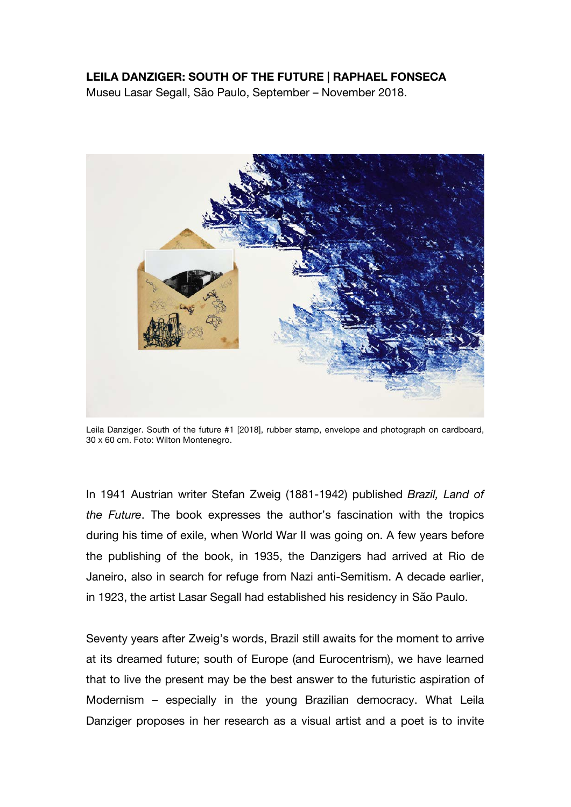## **LEILA DANZIGER: SOUTH OF THE FUTURE | RAPHAEL FONSECA**

Museu Lasar Segall, São Paulo, September – November 2018.



Leila Danziger. South of the future #1 [2018], rubber stamp, envelope and photograph on cardboard, 30 x 60 cm. Foto: Wilton Montenegro.

In 1941 Austrian writer Stefan Zweig (1881-1942) published *Brazil, Land of the Future*. The book expresses the author's fascination with the tropics during his time of exile, when World War II was going on. A few years before the publishing of the book, in 1935, the Danzigers had arrived at Rio de Janeiro, also in search for refuge from Nazi anti-Semitism. A decade earlier, in 1923, the artist Lasar Segall had established his residency in São Paulo.

Seventy years after Zweig's words, Brazil still awaits for the moment to arrive at its dreamed future; south of Europe (and Eurocentrism), we have learned that to live the present may be the best answer to the futuristic aspiration of Modernism – especially in the young Brazilian democracy. What Leila Danziger proposes in her research as a visual artist and a poet is to invite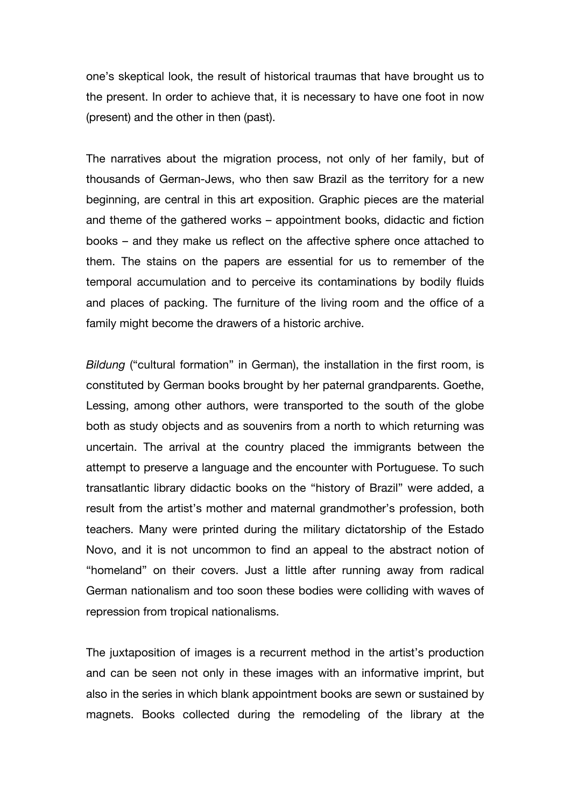one's skeptical look, the result of historical traumas that have brought us to the present. In order to achieve that, it is necessary to have one foot in now (present) and the other in then (past).

The narratives about the migration process, not only of her family, but of thousands of German-Jews, who then saw Brazil as the territory for a new beginning, are central in this art exposition. Graphic pieces are the material and theme of the gathered works – appointment books, didactic and fiction books – and they make us reflect on the affective sphere once attached to them. The stains on the papers are essential for us to remember of the temporal accumulation and to perceive its contaminations by bodily fluids and places of packing. The furniture of the living room and the office of a family might become the drawers of a historic archive.

*Bildung* ("cultural formation" in German), the installation in the first room, is constituted by German books brought by her paternal grandparents. Goethe, Lessing, among other authors, were transported to the south of the globe both as study objects and as souvenirs from a north to which returning was uncertain. The arrival at the country placed the immigrants between the attempt to preserve a language and the encounter with Portuguese. To such transatlantic library didactic books on the "history of Brazil" were added, a result from the artist's mother and maternal grandmother's profession, both teachers. Many were printed during the military dictatorship of the Estado Novo, and it is not uncommon to find an appeal to the abstract notion of "homeland" on their covers. Just a little after running away from radical German nationalism and too soon these bodies were colliding with waves of repression from tropical nationalisms.

The juxtaposition of images is a recurrent method in the artist's production and can be seen not only in these images with an informative imprint, but also in the series in which blank appointment books are sewn or sustained by magnets. Books collected during the remodeling of the library at the